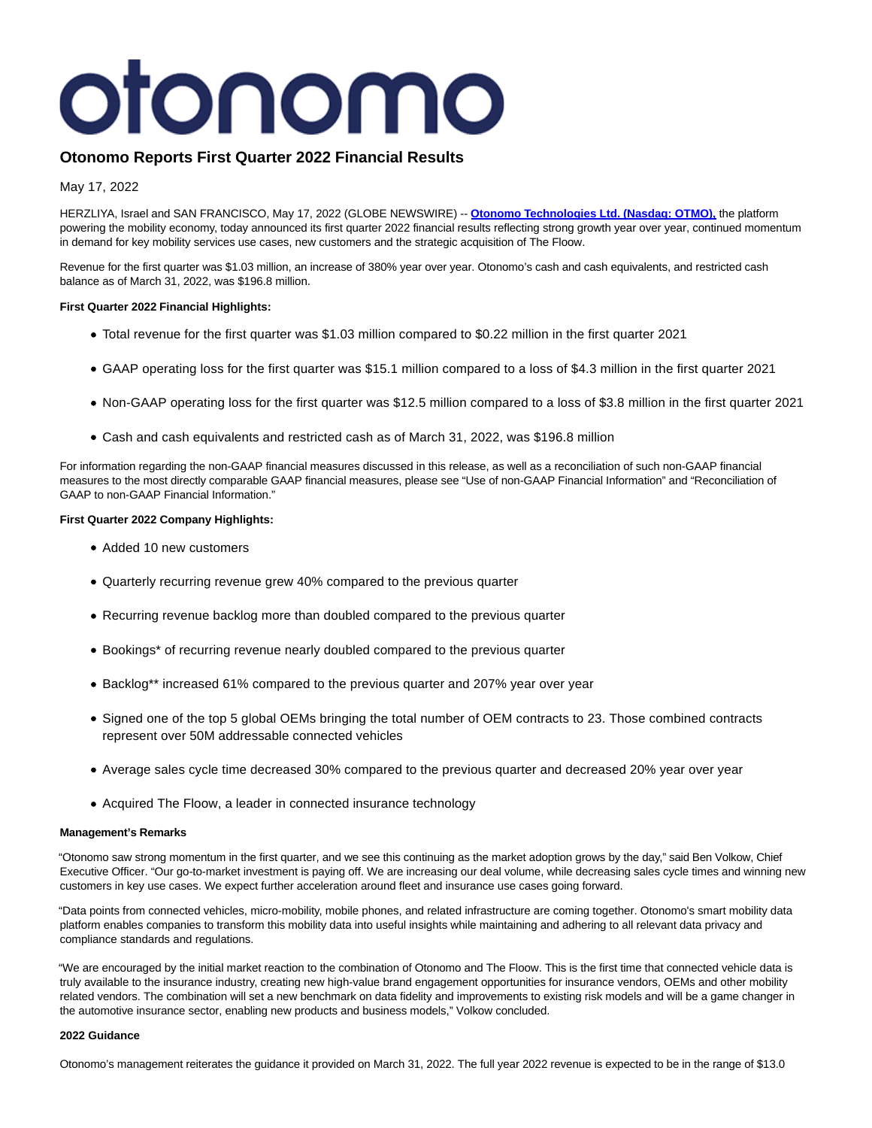# otonomo

# **Otonomo Reports First Quarter 2022 Financial Results**

May 17, 2022

HERZLIYA, Israel and SAN FRANCISCO, May 17, 2022 (GLOBE NEWSWIRE) -- **[Otonomo Technologies Ltd.](https://www.globenewswire.com/Tracker?data=11oFAfvhKf50Is6IP9UPeUUxgAOCgCVV5sOHZ27L7T0O7eYg2XAM7or6TSLAEQUDpGpKx_Tt440TmPIUSReCcOVHoenxqtbvHA7yu4vNtTSOWPuFzlFCFGQav-LA0qOV) (Nasdaq: OTMO),** the platform powering the mobility economy, today announced its first quarter 2022 financial results reflecting strong growth year over year, continued momentum in demand for key mobility services use cases, new customers and the strategic acquisition of The Floow.

Revenue for the first quarter was \$1.03 million, an increase of 380% year over year. Otonomo's cash and cash equivalents, and restricted cash balance as of March 31, 2022, was \$196.8 million.

#### **First Quarter 2022 Financial Highlights:**

- Total revenue for the first quarter was \$1.03 million compared to \$0.22 million in the first quarter 2021
- GAAP operating loss for the first quarter was \$15.1 million compared to a loss of \$4.3 million in the first quarter 2021
- Non-GAAP operating loss for the first quarter was \$12.5 million compared to a loss of \$3.8 million in the first quarter 2021
- Cash and cash equivalents and restricted cash as of March 31, 2022, was \$196.8 million

For information regarding the non-GAAP financial measures discussed in this release, as well as a reconciliation of such non-GAAP financial measures to the most directly comparable GAAP financial measures, please see "Use of non-GAAP Financial Information" and "Reconciliation of GAAP to non-GAAP Financial Information."

# **First Quarter 2022 Company Highlights:**

- Added 10 new customers
- Quarterly recurring revenue grew 40% compared to the previous quarter
- Recurring revenue backlog more than doubled compared to the previous quarter
- Bookings\* of recurring revenue nearly doubled compared to the previous quarter
- Backlog\*\* increased 61% compared to the previous quarter and 207% year over year
- Signed one of the top 5 global OEMs bringing the total number of OEM contracts to 23. Those combined contracts represent over 50M addressable connected vehicles
- Average sales cycle time decreased 30% compared to the previous quarter and decreased 20% year over year
- Acquired The Floow, a leader in connected insurance technology

#### **Management's Remarks**

"Otonomo saw strong momentum in the first quarter, and we see this continuing as the market adoption grows by the day," said Ben Volkow, Chief Executive Officer. "Our go-to-market investment is paying off. We are increasing our deal volume, while decreasing sales cycle times and winning new customers in key use cases. We expect further acceleration around fleet and insurance use cases going forward.

"Data points from connected vehicles, micro-mobility, mobile phones, and related infrastructure are coming together. Otonomo's smart mobility data platform enables companies to transform this mobility data into useful insights while maintaining and adhering to all relevant data privacy and compliance standards and regulations.

"We are encouraged by the initial market reaction to the combination of Otonomo and The Floow. This is the first time that connected vehicle data is truly available to the insurance industry, creating new high-value brand engagement opportunities for insurance vendors, OEMs and other mobility related vendors. The combination will set a new benchmark on data fidelity and improvements to existing risk models and will be a game changer in the automotive insurance sector, enabling new products and business models," Volkow concluded.

# **2022 Guidance**

Otonomo's management reiterates the guidance it provided on March 31, 2022. The full year 2022 revenue is expected to be in the range of \$13.0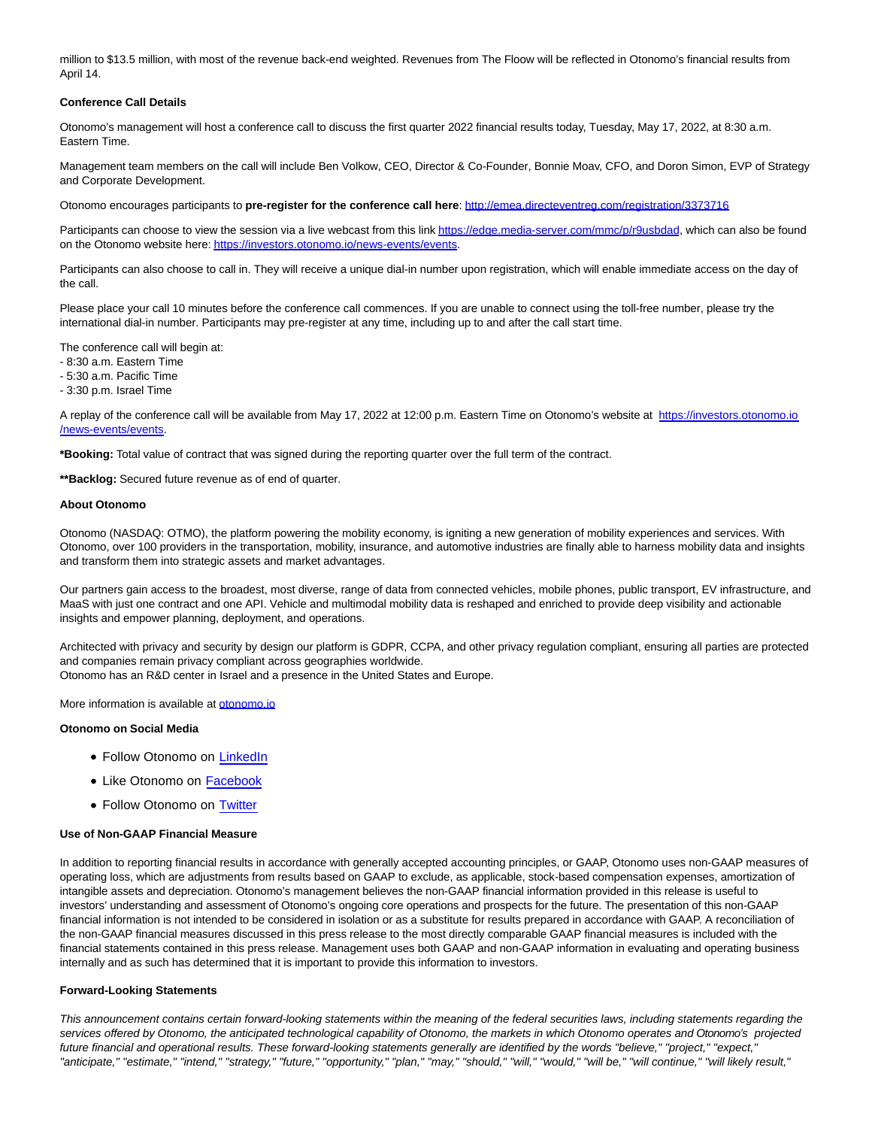million to \$13.5 million, with most of the revenue back-end weighted. Revenues from The Floow will be reflected in Otonomo's financial results from April 14.

#### **Conference Call Details**

Otonomo's management will host a conference call to discuss the first quarter 2022 financial results today, Tuesday, May 17, 2022, at 8:30 a.m. Eastern Time.

Management team members on the call will include Ben Volkow, CEO, Director & Co-Founder, Bonnie Moav, CFO, and Doron Simon, EVP of Strategy and Corporate Development.

Otonomo encourages participants to **pre-register for the conference call here**: [http://emea.directeventreg.com/registration/3373716](https://www.globenewswire.com/Tracker?data=UMoYfLxDs9z7DPcXEbuEKWNMsFDeIyaFhOKxrmkXq_PFBBFuIuPhqN3GLGCjFe6f2g_vSOTwkWnY8pntuOtb2pPR56MVuFv20qNy2wIruts2Nu0KhCz-V4ZqJ-1slYXe2HBxj2kM9hJ2Tf2yy3OMTqarnCHvXoXtAaFIZPwSDBY=)

Participants can choose to view the session via a live webcast from this link [https://edge.media-server.com/mmc/p/r9usbdad,](https://www.globenewswire.com/Tracker?data=1RHoX73Vnb2ynDrh2hu1k5rdVuLb35AyQbflKZpC_XGUm2TgFuK4oT4awHVPeOjqUwv549mEGsuon_EmboXtvxUgv9m4KaY3LfanCqA3u0Ku0gsD_cyvh2vYa6sPA3rNsYpox7MzE3MvDQTIGr2nIg==) which can also be found on the Otonomo website here[: https://investors.otonomo.io/news-events/events.](https://www.globenewswire.com/Tracker?data=1RHoX73Vnb2ynDrh2hu1k1ytj6J7KfVB2sD5dStEPsT68scSNFchAX5oJ4Yvg5xWlru7hHeHq6PDNDy_mADKsyefOH4RckryKi-r49nmQAFYDnzKob8RWykalugDy1KMYjvOB1D7Xuhb6AyX_kv_G3RBcHprQMb6rdG-OQDXU5k=)

Participants can also choose to call in. They will receive a unique dial-in number upon registration, which will enable immediate access on the day of the call.

Please place your call 10 minutes before the conference call commences. If you are unable to connect using the toll-free number, please try the international dial-in number. Participants may pre-register at any time, including up to and after the call start time.

The conference call will begin at:

- 8:30 a.m. Eastern Time
- 5:30 a.m. Pacific Time
- 3:30 p.m. Israel Time

A replay of the conference call will be available from May 17, 2022 at 12:00 p.m. Eastern Time on Otonomo's website at [https://investors.otonomo.io](https://www.globenewswire.com/Tracker?data=1RHoX73Vnb2ynDrh2hu1k1ytj6J7KfVB2sD5dStEPsT68scSNFchAX5oJ4Yvg5xWdLIikSxgf1kJKyHqHYU30-2y2PcFxEcAmVycQikYRHt05cwfG2K6oQmL_W-nmnDjUu6otpI3imXmzqJM1HyuaGiG81OZdQ8tQ3JYrst_nOo=) /news-events/events.

**\*Booking:** Total value of contract that was signed during the reporting quarter over the full term of the contract.

**\*\*Backlog:** Secured future revenue as of end of quarter.

#### **About Otonomo**

Otonomo (NASDAQ: OTMO), the platform powering the mobility economy, is igniting a new generation of mobility experiences and services. With Otonomo, over 100 providers in the transportation, mobility, insurance, and automotive industries are finally able to harness mobility data and insights and transform them into strategic assets and market advantages.

Our partners gain access to the broadest, most diverse, range of data from connected vehicles, mobile phones, public transport, EV infrastructure, and MaaS with just one contract and one API. Vehicle and multimodal mobility data is reshaped and enriched to provide deep visibility and actionable insights and empower planning, deployment, and operations.

Architected with privacy and security by design our platform is GDPR, CCPA, and other privacy regulation compliant, ensuring all parties are protected and companies remain privacy compliant across geographies worldwide.

Otonomo has an R&D center in Israel and a presence in the United States and Europe.

More information is available at [otonomo.io](https://www.globenewswire.com/Tracker?data=VjMy2VX-VM-F9yzAnTAzgIhw_NE-SGcWSXc5JhEon-eDeto2nU1zx09Gjxq7WTxePiZwHBu1mhHjIeACEkqCRg==)

#### **Otonomo on Social Media**

- Follow Otonomo on [LinkedIn](https://www.globenewswire.com/Tracker?data=OxnfpPBRuXB8Usgeb8lxsQ-QzyISfDSciMxEjzHj1xrvoMri8emhLdLi5gw0wtpCU86igm5xiIEQJNQ-WJgj3A==)
- Like Otonomo on [Facebook](https://www.globenewswire.com/Tracker?data=Cci5_QXWd220Gao04nc4F1t59XhCKqWE8fNZP34AE_60_rnofE1M_1OdxT6plxTpGD6dUsHXE8P_bmisgLJ_ww==)
- Follow Otonomo on [Twitter](https://www.globenewswire.com/Tracker?data=bx1CYqBEB9fjuNEWo7PMn8cWvxM2-Fqm_QF6Yk2yf5xnSRCx2GiVOls6ItR80KJ9Z7tYYfqZdcyCyXGGUa2Q3Q==)

#### **Use of Non-GAAP Financial Measure**

In addition to reporting financial results in accordance with generally accepted accounting principles, or GAAP, Otonomo uses non-GAAP measures of operating loss, which are adjustments from results based on GAAP to exclude, as applicable, stock-based compensation expenses, amortization of intangible assets and depreciation. Otonomo's management believes the non-GAAP financial information provided in this release is useful to investors' understanding and assessment of Otonomo's ongoing core operations and prospects for the future. The presentation of this non-GAAP financial information is not intended to be considered in isolation or as a substitute for results prepared in accordance with GAAP. A reconciliation of the non-GAAP financial measures discussed in this press release to the most directly comparable GAAP financial measures is included with the financial statements contained in this press release. Management uses both GAAP and non-GAAP information in evaluating and operating business internally and as such has determined that it is important to provide this information to investors.

#### **Forward-Looking Statements**

This announcement contains certain forward-looking statements within the meaning of the federal securities laws, including statements regarding the services offered by Otonomo, the anticipated technological capability of Otonomo, the markets in which Otonomo operates and Otonomo's projected future financial and operational results. These forward-looking statements generally are identified by the words "believe," "project," "expect," "anticipate," "estimate," "intend," "strategy," "future," "opportunity," "plan," "may," "should," "will," "would," "will be," "will continue," "will likely result,"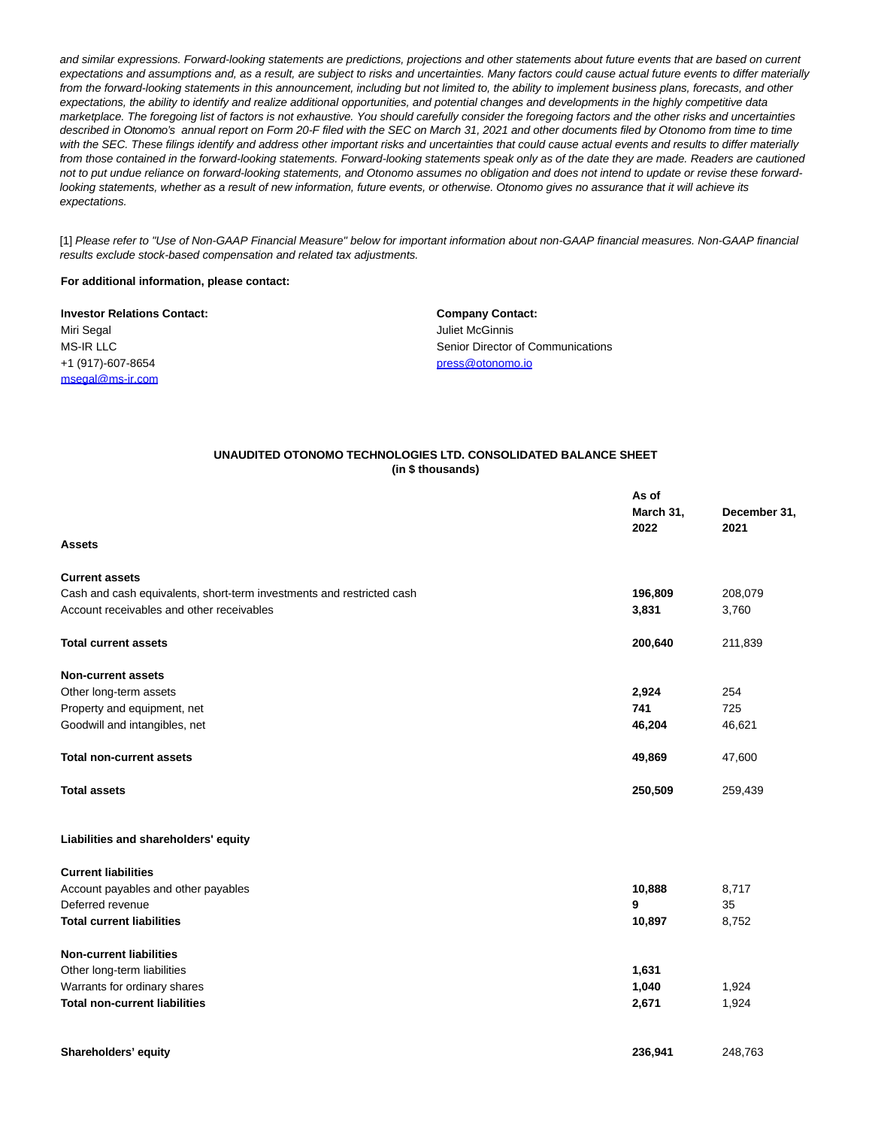and similar expressions. Forward-looking statements are predictions, projections and other statements about future events that are based on current expectations and assumptions and, as a result, are subject to risks and uncertainties. Many factors could cause actual future events to differ materially from the forward-looking statements in this announcement, including but not limited to, the ability to implement business plans, forecasts, and other expectations, the ability to identify and realize additional opportunities, and potential changes and developments in the highly competitive data marketplace. The foregoing list of factors is not exhaustive. You should carefully consider the foregoing factors and the other risks and uncertainties described in Otonomo's annual report on Form 20-F filed with the SEC on March 31, 2021 and other documents filed by Otonomo from time to time with the SEC. These filings identify and address other important risks and uncertainties that could cause actual events and results to differ materially from those contained in the forward-looking statements. Forward-looking statements speak only as of the date they are made. Readers are cautioned not to put undue reliance on forward-looking statements, and Otonomo assumes no obligation and does not intend to update or revise these forwardlooking statements, whether as a result of new information, future events, or otherwise. Otonomo gives no assurance that it will achieve its expectations.

[1] Please refer to "Use of Non-GAAP Financial Measure" below for important information about non-GAAP financial measures. Non-GAAP financial results exclude stock-based compensation and related tax adjustments.

### **For additional information, please contact:**

| <b>Investor Relations Contact:</b> | <b>Company Contact:</b>           |
|------------------------------------|-----------------------------------|
| Miri Segal                         | Juliet McGinnis                   |
| MS-IR LLC                          | Senior Director of Communications |
| +1 (917)-607-8654                  | press@otonomo.io                  |
| msegal@ms-ir.com                   |                                   |

#### **UNAUDITED OTONOMO TECHNOLOGIES LTD. CONSOLIDATED BALANCE SHEET (in \$ thousands)**

|                                                                       | As of     |                      |  |
|-----------------------------------------------------------------------|-----------|----------------------|--|
|                                                                       | March 31, |                      |  |
|                                                                       | 2022      | December 31,<br>2021 |  |
| <b>Assets</b>                                                         |           |                      |  |
| <b>Current assets</b>                                                 |           |                      |  |
| Cash and cash equivalents, short-term investments and restricted cash | 196,809   | 208,079              |  |
| Account receivables and other receivables                             | 3,831     | 3,760                |  |
| <b>Total current assets</b>                                           | 200,640   | 211,839              |  |
| <b>Non-current assets</b>                                             |           |                      |  |
| Other long-term assets                                                | 2,924     | 254                  |  |
| Property and equipment, net                                           | 741       | 725                  |  |
| Goodwill and intangibles, net                                         | 46,204    | 46,621               |  |
| <b>Total non-current assets</b>                                       | 49,869    | 47,600               |  |
| <b>Total assets</b>                                                   | 250,509   | 259,439              |  |
| Liabilities and shareholders' equity                                  |           |                      |  |
| <b>Current liabilities</b>                                            |           |                      |  |
| Account payables and other payables                                   | 10,888    | 8,717                |  |
| Deferred revenue                                                      | 9         | 35                   |  |
| <b>Total current liabilities</b>                                      | 10,897    | 8,752                |  |
| <b>Non-current liabilities</b>                                        |           |                      |  |
| Other long-term liabilities                                           | 1,631     |                      |  |
| Warrants for ordinary shares                                          | 1,040     | 1,924                |  |
| <b>Total non-current liabilities</b>                                  | 2,671     | 1,924                |  |
| Shareholders' equity                                                  | 236,941   | 248,763              |  |